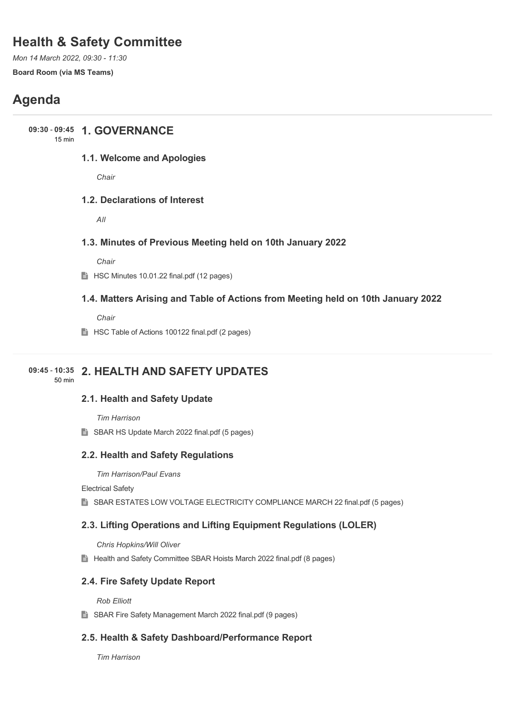# **Health & Safety Committee**

*Mon 14 March 2022, 09:30 - 11:30* **Board Room (via MS Teams)**

# **Agenda**

## **1. GOVERNANCE 09:30** - **09:45**

15 min

## **1.1. Welcome and Apologies**

*Chair*

## **1.2. Declarations of Interest**

*All*

## **1.3. Minutes of Previous Meeting held on 10th January 2022**

*Chair*

**HSC Minutes 10.01.22 final.pdf (12 pages)** 

## **1.4. Matters Arising and Table of Actions from Meeting held on 10th January 2022**

*Chair*

**HSC Table of Actions 100122 final.pdf (2 pages)** 

## **2. HEALTH AND SAFETY UPDATES 09:45** - **10:35**

50 min

## **2.1. Health and Safety Update**

*Tim Harrison*

SBAR HS Update March 2022 final.pdf (5 pages)

## **2.2. Health and Safety Regulations**

*Tim Harrison/Paul Evans*

Electrical Safety

SBAR ESTATES LOW VOLTAGE ELECTRICITY COMPLIANCE MARCH 22 final.pdf (5 pages)

## **2.3. Lifting Operations and Lifting Equipment Regulations (LOLER)**

*Chris Hopkins/Will Oliver*

Health and Safety Committee SBAR Hoists March 2022 final.pdf (8 pages)

## **2.4. Fire Safety Update Report**

*Rob Elliott*

■ SBAR Fire Safety Management March 2022 final.pdf (9 pages)

## **2.5. Health & Safety Dashboard/Performance Report**

*Tim Harrison*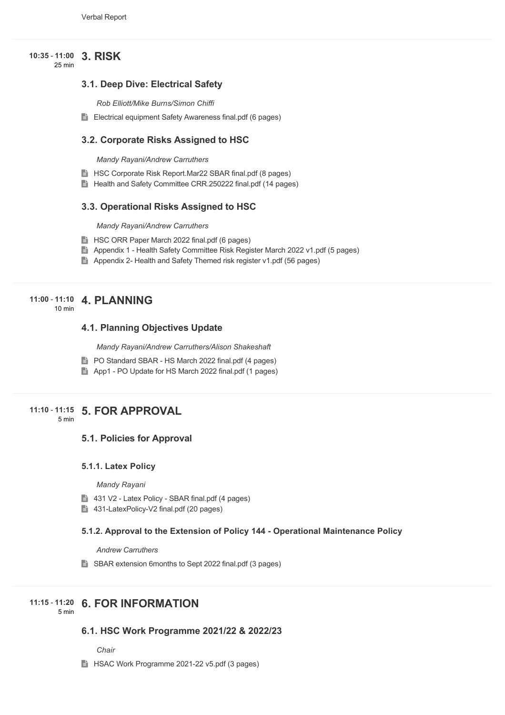#### **3. RISK 10:35** - **11:00**

25 min

## **3.1. Deep Dive: Electrical Safety**

*Rob Elliott/Mike Burns/Simon Chiffi*

Electrical equipment Safety Awareness final.pdf (6 pages)

#### **3.2. Corporate Risks Assigned to HSC**

*Mandy Rayani/Andrew Carruthers*

- **HSC Corporate Risk Report.Mar22 SBAR final.pdf (8 pages)**
- Health and Safety Committee CRR.250222 final.pdf (14 pages)

#### **3.3. Operational Risks Assigned to HSC**

*Mandy Rayani/Andrew Carruthers*

- **HSC ORR Paper March 2022 final.pdf (6 pages)**
- Appendix 1 Health Safety Committee Risk Register March 2022 v1.pdf (5 pages)
- Appendix 2- Health and Safety Themed risk register v1.pdf (56 pages)

## **4. PLANNING 11:00** - **11:10**

 $10 \text{ min}$ 

### **4.1. Planning Objectives Update**

*Mandy Rayani/Andrew Carruthers/Alison Shakeshaft*

- **PO Standard SBAR HS March 2022 final.pdf (4 pages)**
- App1 PO Update for HS March 2022 final.pdf (1 pages)

## **5. FOR APPROVAL 11:10** - **11:15**

5 min

#### **5.1. Policies for Approval**

#### **5.1.1. Latex Policy**

*Mandy Rayani*

- 431 V2 Latex Policy SBAR final.pdf (4 pages)
- 431-LatexPolicy-V2 final.pdf (20 pages)

#### **5.1.2. Approval to the Extension of Policy 144 - Operational Maintenance Policy**

*Andrew Carruthers*

■ SBAR extension 6months to Sept 2022 final.pdf (3 pages)

## **6. FOR INFORMATION 11:15** - **11:20**

5 min

#### **6.1. HSC Work Programme 2021/22 & 2022/23**

*Chair*

**HSAC Work Programme 2021-22 v5.pdf (3 pages)**